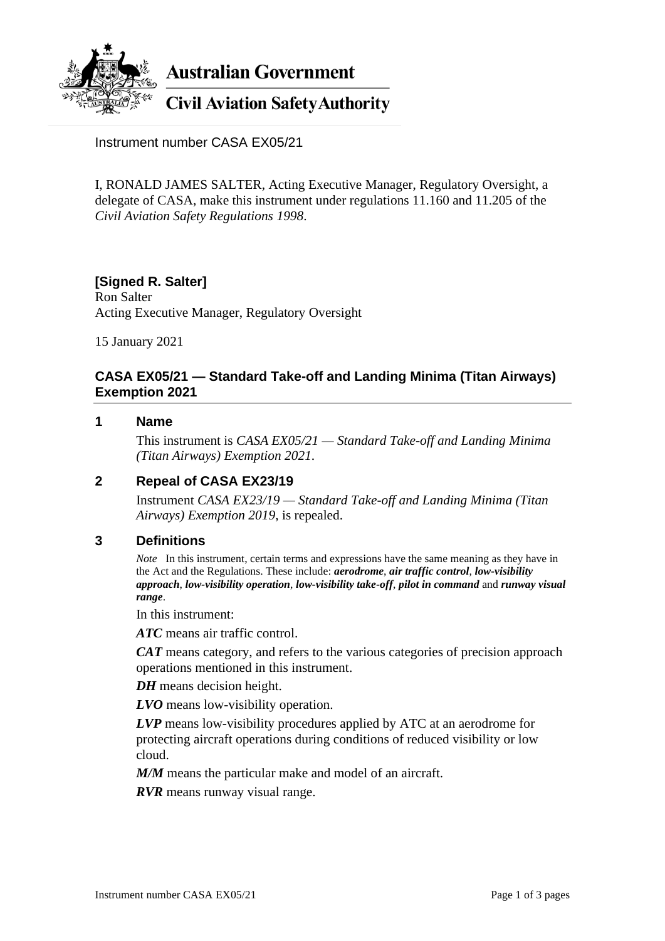

**Australian Government** 

# **Civil Aviation Safety Authority**

Instrument number CASA EX05/21

I, RONALD JAMES SALTER, Acting Executive Manager, Regulatory Oversight, a delegate of CASA, make this instrument under regulations 11.160 and 11.205 of the *Civil Aviation Safety Regulations 1998*.

# **[Signed R. Salter]**

Ron Salter Acting Executive Manager, Regulatory Oversight

15 January 2021

### **CASA EX05/21 — Standard Take-off and Landing Minima (Titan Airways) Exemption 2021**

#### **1 Name**

This instrument is *CASA EX05/21 — Standard Take-off and Landing Minima (Titan Airways) Exemption 2021*.

#### **2 Repeal of CASA EX23/19**

Instrument *CASA EX23/19 — Standard Take-off and Landing Minima (Titan Airways) Exemption 2019*, is repealed.

#### **3 Definitions**

*Note* In this instrument, certain terms and expressions have the same meaning as they have in the Act and the Regulations. These include: *aerodrome*, *air traffic control*, *low-visibility approach*, *low-visibility operation*, *low-visibility take-off*, *pilot in command* and *runway visual range*.

In this instrument:

*ATC* means air traffic control.

*CAT* means category, and refers to the various categories of precision approach operations mentioned in this instrument.

*DH* means decision height.

*LVO* means low-visibility operation.

*LVP* means low-visibility procedures applied by ATC at an aerodrome for protecting aircraft operations during conditions of reduced visibility or low cloud.

*M/M* means the particular make and model of an aircraft.

*RVR* means runway visual range.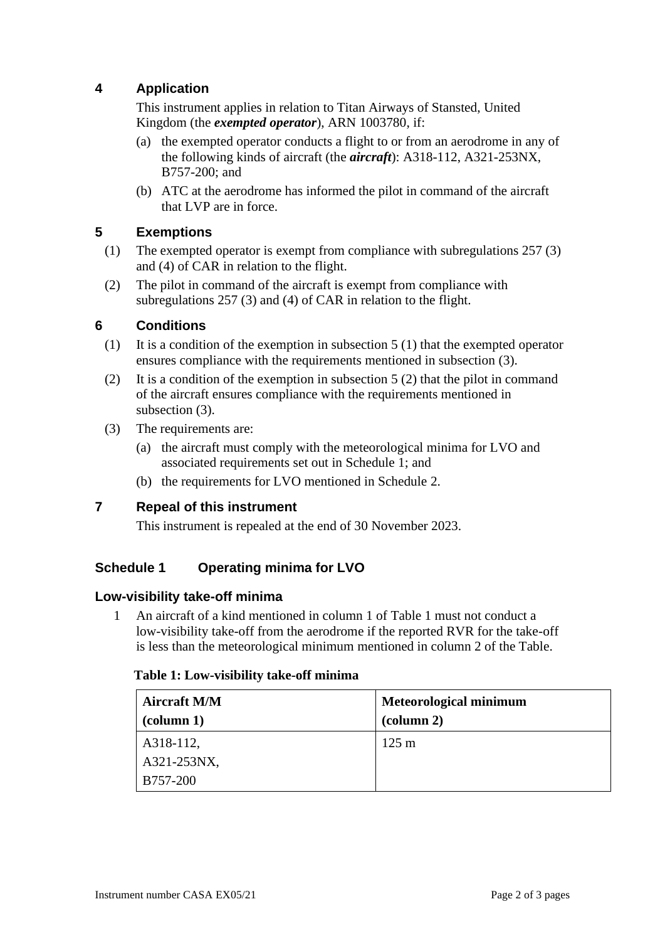# **4 Application**

This instrument applies in relation to Titan Airways of Stansted, United Kingdom (the *exempted operator*), ARN 1003780, if:

- (a) the exempted operator conducts a flight to or from an aerodrome in any of the following kinds of aircraft (the *aircraft*): A318-112, A321-253NX, B757-200; and
- (b) ATC at the aerodrome has informed the pilot in command of the aircraft that LVP are in force.

### **5 Exemptions**

- (1) The exempted operator is exempt from compliance with subregulations 257 (3) and (4) of CAR in relation to the flight.
- (2) The pilot in command of the aircraft is exempt from compliance with subregulations 257 (3) and (4) of CAR in relation to the flight.

#### **6 Conditions**

- (1) It is a condition of the exemption in subsection 5 (1) that the exempted operator ensures compliance with the requirements mentioned in subsection (3).
- (2) It is a condition of the exemption in subsection 5 (2) that the pilot in command of the aircraft ensures compliance with the requirements mentioned in subsection (3).
- (3) The requirements are:
	- (a) the aircraft must comply with the meteorological minima for LVO and associated requirements set out in Schedule 1; and
	- (b) the requirements for LVO mentioned in Schedule 2.

#### **7 Repeal of this instrument**

This instrument is repealed at the end of 30 November 2023.

## **Schedule 1 Operating minima for LVO**

#### **Low-visibility take-off minima**

1 An aircraft of a kind mentioned in column 1 of Table 1 must not conduct a low-visibility take-off from the aerodrome if the reported RVR for the take-off is less than the meteorological minimum mentioned in column 2 of the Table.

#### **Table 1: Low-visibility take-off minima**

| <b>Aircraft M/M</b>            | <b>Meteorological minimum</b>   |  |
|--------------------------------|---------------------------------|--|
| $\left(\text{column 1}\right)$ | $\left(\text{column } 2\right)$ |  |
| A318-112,                      | $125 \text{ m}$                 |  |
| A321-253NX,                    |                                 |  |
| B757-200                       |                                 |  |